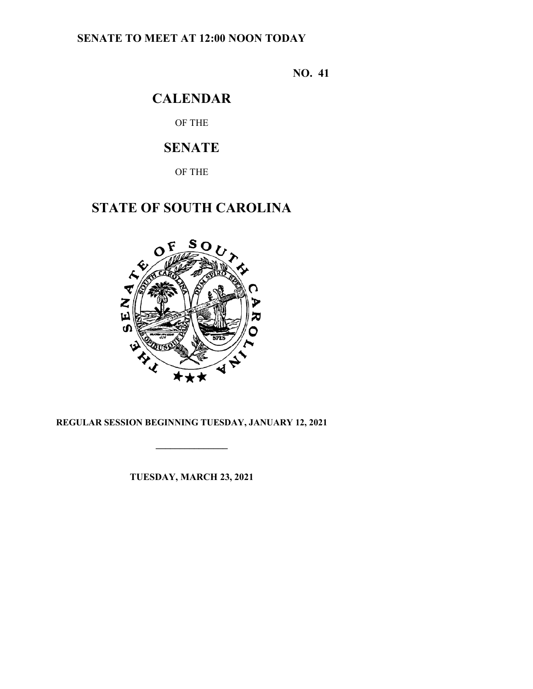## **SENATE TO MEET AT 12:00 NOON TODAY**

**NO. 41**

# **CALENDAR**

OF THE

# **SENATE**

OF THE

# **STATE OF SOUTH CAROLINA**



## **REGULAR SESSION BEGINNING TUESDAY, JANUARY 12, 2021**

**\_\_\_\_\_\_\_\_\_\_\_\_\_\_\_**

**TUESDAY, MARCH 23, 2021**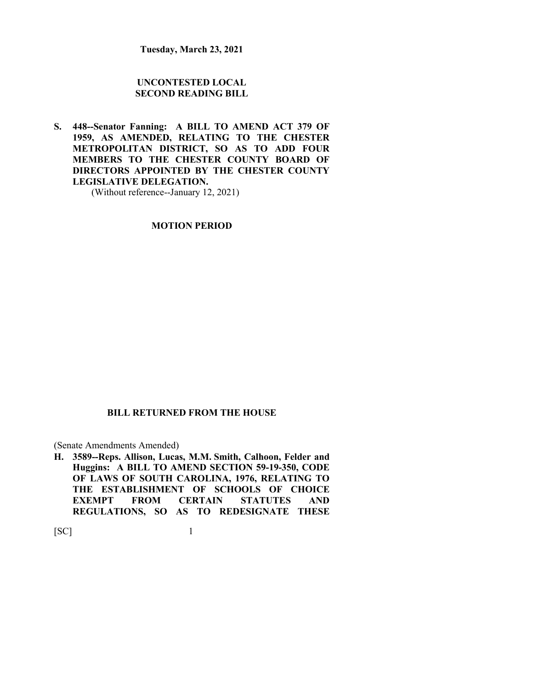**Tuesday, March 23, 2021**

## **UNCONTESTED LOCAL SECOND READING BILL**

**S. 448--Senator Fanning: A BILL TO AMEND ACT 379 OF 1959, AS AMENDED, RELATING TO THE CHESTER METROPOLITAN DISTRICT, SO AS TO ADD FOUR MEMBERS TO THE CHESTER COUNTY BOARD OF DIRECTORS APPOINTED BY THE CHESTER COUNTY LEGISLATIVE DELEGATION.**

(Without reference--January 12, 2021)

**MOTION PERIOD**

### **BILL RETURNED FROM THE HOUSE**

(Senate Amendments Amended)

**H. 3589--Reps. Allison, Lucas, M.M. Smith, Calhoon, Felder and Huggins: A BILL TO AMEND SECTION 59-19-350, CODE OF LAWS OF SOUTH CAROLINA, 1976, RELATING TO THE ESTABLISHMENT OF SCHOOLS OF CHOICE EXEMPT FROM CERTAIN STATUTES AND REGULATIONS, SO AS TO REDESIGNATE THESE**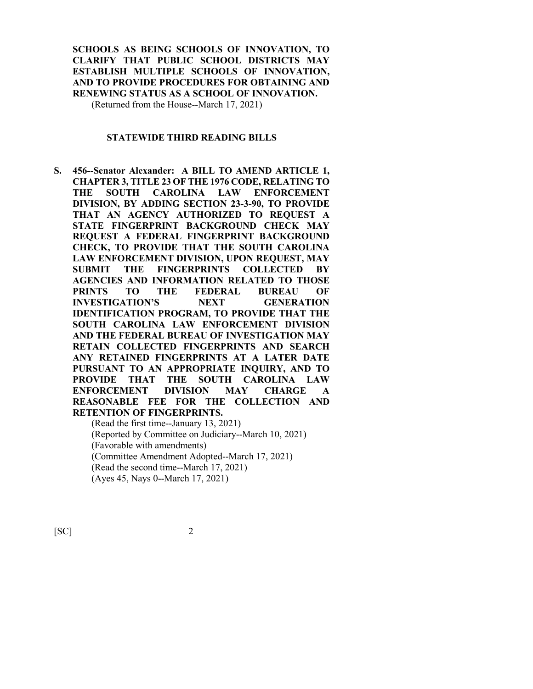**SCHOOLS AS BEING SCHOOLS OF INNOVATION, TO CLARIFY THAT PUBLIC SCHOOL DISTRICTS MAY ESTABLISH MULTIPLE SCHOOLS OF INNOVATION, AND TO PROVIDE PROCEDURES FOR OBTAINING AND RENEWING STATUS AS A SCHOOL OF INNOVATION.** (Returned from the House--March 17, 2021)

**STATEWIDE THIRD READING BILLS**

**S. 456--Senator Alexander: A BILL TO AMEND ARTICLE 1, CHAPTER 3, TITLE 23 OF THE 1976 CODE, RELATING TO THE SOUTH CAROLINA LAW ENFORCEMENT DIVISION, BY ADDING SECTION 23-3-90, TO PROVIDE THAT AN AGENCY AUTHORIZED TO REQUEST A STATE FINGERPRINT BACKGROUND CHECK MAY REQUEST A FEDERAL FINGERPRINT BACKGROUND CHECK, TO PROVIDE THAT THE SOUTH CAROLINA LAW ENFORCEMENT DIVISION, UPON REQUEST, MAY SUBMIT THE FINGERPRINTS COLLECTED BY AGENCIES AND INFORMATION RELATED TO THOSE PRINTS TO THE FEDERAL BUREAU OF INVESTIGATION'S NEXT GENERATION IDENTIFICATION PROGRAM, TO PROVIDE THAT THE SOUTH CAROLINA LAW ENFORCEMENT DIVISION AND THE FEDERAL BUREAU OF INVESTIGATION MAY RETAIN COLLECTED FINGERPRINTS AND SEARCH ANY RETAINED FINGERPRINTS AT A LATER DATE PURSUANT TO AN APPROPRIATE INQUIRY, AND TO PROVIDE THAT THE SOUTH CAROLINA LAW ENFORCEMENT DIVISION MAY CHARGE A REASONABLE FEE FOR THE COLLECTION AND RETENTION OF FINGERPRINTS.**

(Read the first time--January 13, 2021) (Reported by Committee on Judiciary--March 10, 2021) (Favorable with amendments) (Committee Amendment Adopted--March 17, 2021) (Read the second time--March 17, 2021) (Ayes 45, Nays 0--March 17, 2021)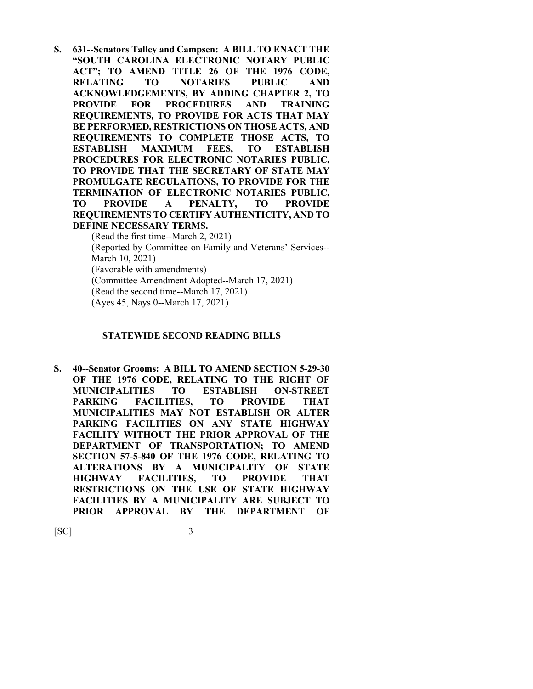**S. 631--Senators Talley and Campsen: A BILL TO ENACT THE "SOUTH CAROLINA ELECTRONIC NOTARY PUBLIC ACT"; TO AMEND TITLE 26 OF THE 1976 CODE, RELATING TO NOTARIES PUBLIC AND ACKNOWLEDGEMENTS, BY ADDING CHAPTER 2, TO PROVIDE FOR PROCEDURES AND TRAINING REQUIREMENTS, TO PROVIDE FOR ACTS THAT MAY BE PERFORMED, RESTRICTIONS ON THOSE ACTS, AND REQUIREMENTS TO COMPLETE THOSE ACTS, TO ESTABLISH MAXIMUM FEES, TO ESTABLISH PROCEDURES FOR ELECTRONIC NOTARIES PUBLIC, TO PROVIDE THAT THE SECRETARY OF STATE MAY PROMULGATE REGULATIONS, TO PROVIDE FOR THE TERMINATION OF ELECTRONIC NOTARIES PUBLIC, TO PROVIDE A PENALTY, TO PROVIDE REQUIREMENTS TO CERTIFY AUTHENTICITY, AND TO DEFINE NECESSARY TERMS.**

(Read the first time--March 2, 2021) (Reported by Committee on Family and Veterans' Services-- March 10, 2021) (Favorable with amendments) (Committee Amendment Adopted--March 17, 2021) (Read the second time--March 17, 2021) (Ayes 45, Nays 0--March 17, 2021)

#### **STATEWIDE SECOND READING BILLS**

**S. 40--Senator Grooms: A BILL TO AMEND SECTION 5-29-30 OF THE 1976 CODE, RELATING TO THE RIGHT OF MUNICIPALITIES TO ESTABLISH ON-STREET PARKING FACILITIES, TO PROVIDE THAT MUNICIPALITIES MAY NOT ESTABLISH OR ALTER PARKING FACILITIES ON ANY STATE HIGHWAY FACILITY WITHOUT THE PRIOR APPROVAL OF THE DEPARTMENT OF TRANSPORTATION; TO AMEND SECTION 57-5-840 OF THE 1976 CODE, RELATING TO ALTERATIONS BY A MUNICIPALITY OF STATE HIGHWAY FACILITIES, TO PROVIDE THAT RESTRICTIONS ON THE USE OF STATE HIGHWAY FACILITIES BY A MUNICIPALITY ARE SUBJECT TO PRIOR APPROVAL BY THE DEPARTMENT OF**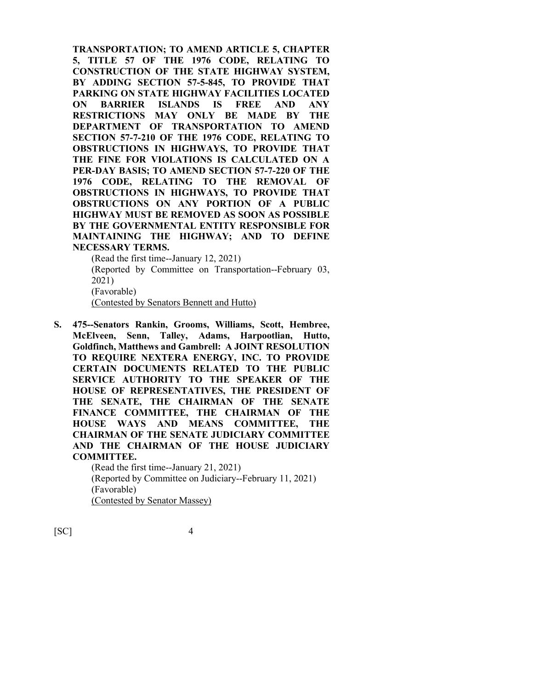**TRANSPORTATION; TO AMEND ARTICLE 5, CHAPTER 5, TITLE 57 OF THE 1976 CODE, RELATING TO CONSTRUCTION OF THE STATE HIGHWAY SYSTEM, BY ADDING SECTION 57-5-845, TO PROVIDE THAT PARKING ON STATE HIGHWAY FACILITIES LOCATED ON BARRIER ISLANDS IS FREE AND ANY RESTRICTIONS MAY ONLY BE MADE BY THE DEPARTMENT OF TRANSPORTATION TO AMEND SECTION 57-7-210 OF THE 1976 CODE, RELATING TO OBSTRUCTIONS IN HIGHWAYS, TO PROVIDE THAT THE FINE FOR VIOLATIONS IS CALCULATED ON A PER-DAY BASIS; TO AMEND SECTION 57-7-220 OF THE 1976 CODE, RELATING TO THE REMOVAL OF OBSTRUCTIONS IN HIGHWAYS, TO PROVIDE THAT OBSTRUCTIONS ON ANY PORTION OF A PUBLIC HIGHWAY MUST BE REMOVED AS SOON AS POSSIBLE BY THE GOVERNMENTAL ENTITY RESPONSIBLE FOR MAINTAINING THE HIGHWAY; AND TO DEFINE NECESSARY TERMS.**

(Read the first time--January 12, 2021)

(Reported by Committee on Transportation--February 03, 2021)

(Favorable)

(Contested by Senators Bennett and Hutto)

**S. 475--Senators Rankin, Grooms, Williams, Scott, Hembree, McElveen, Senn, Talley, Adams, Harpootlian, Hutto, Goldfinch, Matthews and Gambrell: A JOINT RESOLUTION TO REQUIRE NEXTERA ENERGY, INC. TO PROVIDE CERTAIN DOCUMENTS RELATED TO THE PUBLIC SERVICE AUTHORITY TO THE SPEAKER OF THE HOUSE OF REPRESENTATIVES, THE PRESIDENT OF THE SENATE, THE CHAIRMAN OF THE SENATE FINANCE COMMITTEE, THE CHAIRMAN OF THE HOUSE WAYS AND MEANS COMMITTEE, THE CHAIRMAN OF THE SENATE JUDICIARY COMMITTEE AND THE CHAIRMAN OF THE HOUSE JUDICIARY COMMITTEE.**

> (Read the first time--January 21, 2021) (Reported by Committee on Judiciary--February 11, 2021) (Favorable) (Contested by Senator Massey)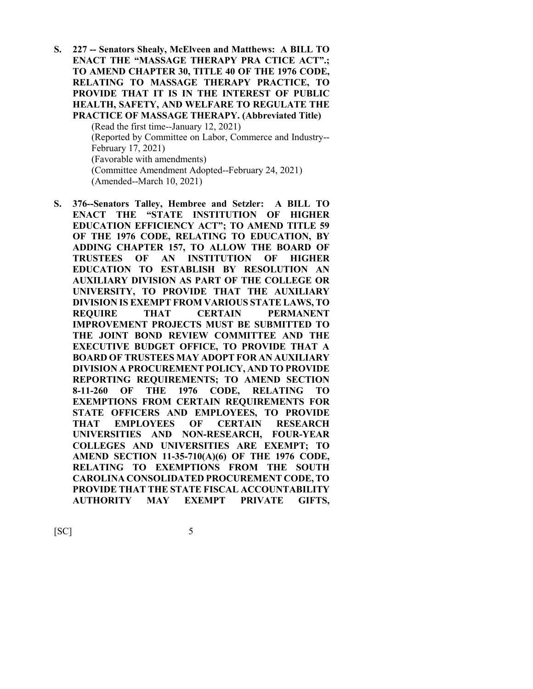**S. 227 -- Senators Shealy, McElveen and Matthews: A BILL TO ENACT THE "MASSAGE THERAPY PRA CTICE ACT".; TO AMEND CHAPTER 30, TITLE 40 OF THE 1976 CODE, RELATING TO MASSAGE THERAPY PRACTICE, TO PROVIDE THAT IT IS IN THE INTEREST OF PUBLIC HEALTH, SAFETY, AND WELFARE TO REGULATE THE PRACTICE OF MASSAGE THERAPY. (Abbreviated Title)**

> (Read the first time--January 12, 2021) (Reported by Committee on Labor, Commerce and Industry-- February 17, 2021) (Favorable with amendments) (Committee Amendment Adopted--February 24, 2021) (Amended--March 10, 2021)

**S. 376--Senators Talley, Hembree and Setzler: A BILL TO ENACT THE "STATE INSTITUTION OF HIGHER EDUCATION EFFICIENCY ACT"; TO AMEND TITLE 59 OF THE 1976 CODE, RELATING TO EDUCATION, BY ADDING CHAPTER 157, TO ALLOW THE BOARD OF TRUSTEES OF AN INSTITUTION OF HIGHER EDUCATION TO ESTABLISH BY RESOLUTION AN AUXILIARY DIVISION AS PART OF THE COLLEGE OR UNIVERSITY, TO PROVIDE THAT THE AUXILIARY DIVISION IS EXEMPT FROM VARIOUS STATE LAWS, TO REQUIRE THAT CERTAIN PERMANENT IMPROVEMENT PROJECTS MUST BE SUBMITTED TO THE JOINT BOND REVIEW COMMITTEE AND THE EXECUTIVE BUDGET OFFICE, TO PROVIDE THAT A BOARD OF TRUSTEES MAY ADOPT FOR AN AUXILIARY DIVISION A PROCUREMENT POLICY, AND TO PROVIDE REPORTING REQUIREMENTS; TO AMEND SECTION 8-11-260 OF THE 1976 CODE, RELATING TO EXEMPTIONS FROM CERTAIN REQUIREMENTS FOR STATE OFFICERS AND EMPLOYEES, TO PROVIDE THAT EMPLOYEES OF CERTAIN RESEARCH UNIVERSITIES AND NON-RESEARCH, FOUR-YEAR COLLEGES AND UNIVERSITIES ARE EXEMPT; TO AMEND SECTION 11-35-710(A)(6) OF THE 1976 CODE, RELATING TO EXEMPTIONS FROM THE SOUTH CAROLINA CONSOLIDATED PROCUREMENT CODE, TO PROVIDE THAT THE STATE FISCAL ACCOUNTABILITY AUTHORITY MAY EXEMPT PRIVATE GIFTS,**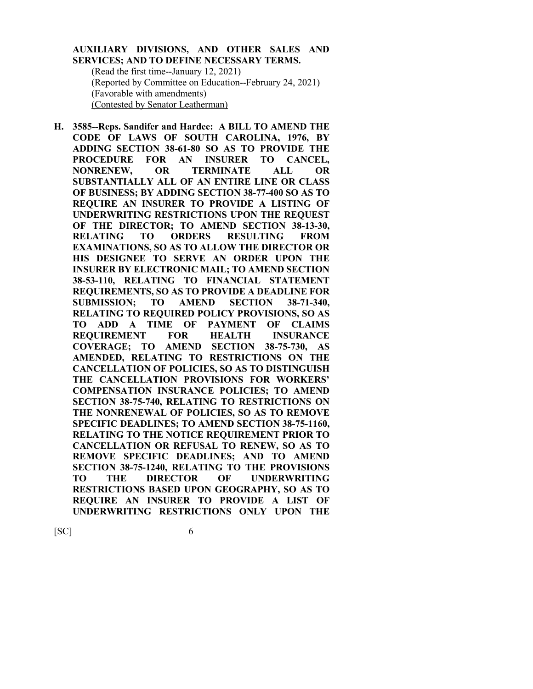## **AUXILIARY DIVISIONS, AND OTHER SALES AND SERVICES; AND TO DEFINE NECESSARY TERMS.**

(Read the first time--January 12, 2021) (Reported by Committee on Education--February 24, 2021) (Favorable with amendments) (Contested by Senator Leatherman)

**H. 3585--Reps. Sandifer and Hardee: A BILL TO AMEND THE CODE OF LAWS OF SOUTH CAROLINA, 1976, BY ADDING SECTION 38-61-80 SO AS TO PROVIDE THE PROCEDURE FOR AN INSURER TO CANCEL, NONRENEW, OR TERMINATE ALL OR SUBSTANTIALLY ALL OF AN ENTIRE LINE OR CLASS OF BUSINESS; BY ADDING SECTION 38-77-400 SO AS TO REQUIRE AN INSURER TO PROVIDE A LISTING OF UNDERWRITING RESTRICTIONS UPON THE REQUEST OF THE DIRECTOR; TO AMEND SECTION 38-13-30, RELATING TO ORDERS RESULTING FROM EXAMINATIONS, SO AS TO ALLOW THE DIRECTOR OR HIS DESIGNEE TO SERVE AN ORDER UPON THE INSURER BY ELECTRONIC MAIL; TO AMEND SECTION 38-53-110, RELATING TO FINANCIAL STATEMENT REQUIREMENTS, SO AS TO PROVIDE A DEADLINE FOR SUBMISSION; TO AMEND SECTION 38-71-340, RELATING TO REQUIRED POLICY PROVISIONS, SO AS TO ADD A TIME OF PAYMENT OF CLAIMS REQUIREMENT FOR HEALTH INSURANCE COVERAGE; TO AMEND SECTION 38-75-730, AS AMENDED, RELATING TO RESTRICTIONS ON THE CANCELLATION OF POLICIES, SO AS TO DISTINGUISH THE CANCELLATION PROVISIONS FOR WORKERS' COMPENSATION INSURANCE POLICIES; TO AMEND SECTION 38-75-740, RELATING TO RESTRICTIONS ON THE NONRENEWAL OF POLICIES, SO AS TO REMOVE SPECIFIC DEADLINES; TO AMEND SECTION 38-75-1160, RELATING TO THE NOTICE REQUIREMENT PRIOR TO CANCELLATION OR REFUSAL TO RENEW, SO AS TO REMOVE SPECIFIC DEADLINES; AND TO AMEND SECTION 38-75-1240, RELATING TO THE PROVISIONS TO THE DIRECTOR OF UNDERWRITING RESTRICTIONS BASED UPON GEOGRAPHY, SO AS TO REQUIRE AN INSURER TO PROVIDE A LIST OF UNDERWRITING RESTRICTIONS ONLY UPON THE**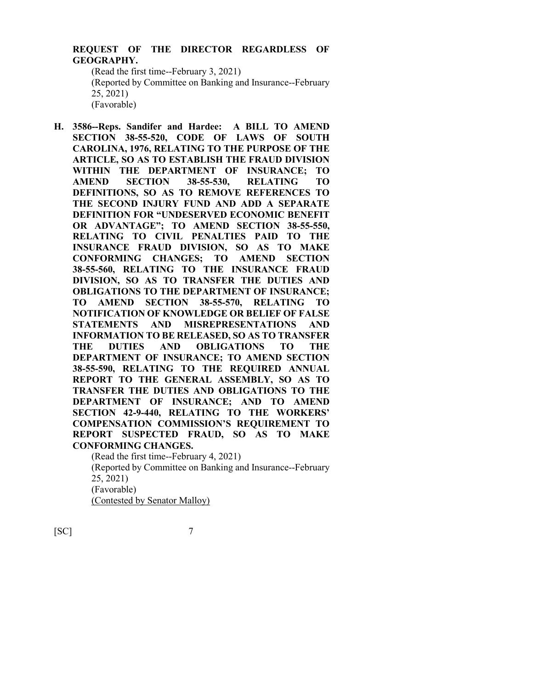## **REQUEST OF THE DIRECTOR REGARDLESS OF GEOGRAPHY.**

(Read the first time--February 3, 2021) (Reported by Committee on Banking and Insurance--February 25, 2021) (Favorable)

**H. 3586--Reps. Sandifer and Hardee: A BILL TO AMEND SECTION 38-55-520, CODE OF LAWS OF SOUTH CAROLINA, 1976, RELATING TO THE PURPOSE OF THE ARTICLE, SO AS TO ESTABLISH THE FRAUD DIVISION WITHIN THE DEPARTMENT OF INSURANCE; TO AMEND SECTION 38-55-530, RELATING TO DEFINITIONS, SO AS TO REMOVE REFERENCES TO THE SECOND INJURY FUND AND ADD A SEPARATE DEFINITION FOR "UNDESERVED ECONOMIC BENEFIT OR ADVANTAGE"; TO AMEND SECTION 38-55-550, RELATING TO CIVIL PENALTIES PAID TO THE INSURANCE FRAUD DIVISION, SO AS TO MAKE CONFORMING CHANGES; TO AMEND SECTION 38-55-560, RELATING TO THE INSURANCE FRAUD DIVISION, SO AS TO TRANSFER THE DUTIES AND OBLIGATIONS TO THE DEPARTMENT OF INSURANCE; TO AMEND SECTION 38-55-570, RELATING TO NOTIFICATION OF KNOWLEDGE OR BELIEF OF FALSE STATEMENTS AND MISREPRESENTATIONS AND INFORMATION TO BE RELEASED, SO AS TO TRANSFER THE DUTIES AND OBLIGATIONS TO THE DEPARTMENT OF INSURANCE; TO AMEND SECTION 38-55-590, RELATING TO THE REQUIRED ANNUAL REPORT TO THE GENERAL ASSEMBLY, SO AS TO TRANSFER THE DUTIES AND OBLIGATIONS TO THE DEPARTMENT OF INSURANCE; AND TO AMEND SECTION 42-9-440, RELATING TO THE WORKERS' COMPENSATION COMMISSION'S REQUIREMENT TO REPORT SUSPECTED FRAUD, SO AS TO MAKE CONFORMING CHANGES.**

> (Read the first time--February 4, 2021) (Reported by Committee on Banking and Insurance--February 25, 2021) (Favorable) (Contested by Senator Malloy)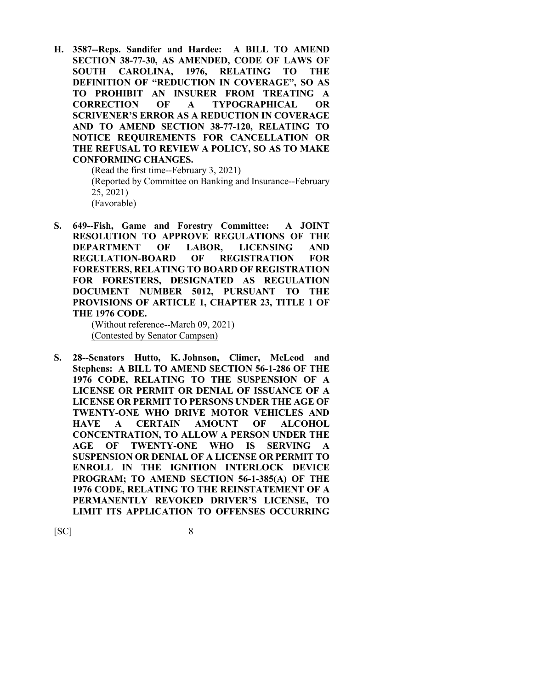**H. 3587--Reps. Sandifer and Hardee: A BILL TO AMEND SECTION 38-77-30, AS AMENDED, CODE OF LAWS OF SOUTH CAROLINA, 1976, RELATING TO THE DEFINITION OF "REDUCTION IN COVERAGE", SO AS TO PROHIBIT AN INSURER FROM TREATING A CORRECTION OF A TYPOGRAPHICAL OR SCRIVENER'S ERROR AS A REDUCTION IN COVERAGE AND TO AMEND SECTION 38-77-120, RELATING TO NOTICE REQUIREMENTS FOR CANCELLATION OR THE REFUSAL TO REVIEW A POLICY, SO AS TO MAKE CONFORMING CHANGES.**

(Read the first time--February 3, 2021) (Reported by Committee on Banking and Insurance--February 25, 2021) (Favorable)

**S. 649--Fish, Game and Forestry Committee: A JOINT RESOLUTION TO APPROVE REGULATIONS OF THE DEPARTMENT OF LABOR, LICENSING AND REGULATION-BOARD OF REGISTRATION FOR FORESTERS, RELATING TO BOARD OF REGISTRATION FOR FORESTERS, DESIGNATED AS REGULATION DOCUMENT NUMBER 5012, PURSUANT TO THE PROVISIONS OF ARTICLE 1, CHAPTER 23, TITLE 1 OF THE 1976 CODE.**

> (Without reference--March 09, 2021) (Contested by Senator Campsen)

**S. 28--Senators Hutto, K. Johnson, Climer, McLeod and Stephens: A BILL TO AMEND SECTION 56-1-286 OF THE 1976 CODE, RELATING TO THE SUSPENSION OF A LICENSE OR PERMIT OR DENIAL OF ISSUANCE OF A LICENSE OR PERMIT TO PERSONS UNDER THE AGE OF TWENTY-ONE WHO DRIVE MOTOR VEHICLES AND HAVE A CERTAIN AMOUNT OF ALCOHOL CONCENTRATION, TO ALLOW A PERSON UNDER THE AGE OF TWENTY-ONE WHO IS SERVING A SUSPENSION OR DENIAL OF A LICENSE OR PERMIT TO ENROLL IN THE IGNITION INTERLOCK DEVICE PROGRAM; TO AMEND SECTION 56-1-385(A) OF THE 1976 CODE, RELATING TO THE REINSTATEMENT OF A PERMANENTLY REVOKED DRIVER'S LICENSE, TO LIMIT ITS APPLICATION TO OFFENSES OCCURRING**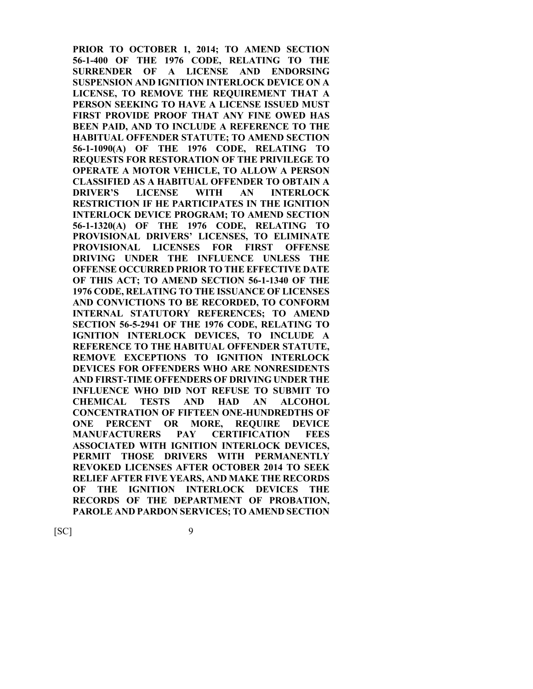**PRIOR TO OCTOBER 1, 2014; TO AMEND SECTION 56-1-400 OF THE 1976 CODE, RELATING TO THE SURRENDER OF A LICENSE AND ENDORSING SUSPENSION AND IGNITION INTERLOCK DEVICE ON A LICENSE, TO REMOVE THE REQUIREMENT THAT A PERSON SEEKING TO HAVE A LICENSE ISSUED MUST FIRST PROVIDE PROOF THAT ANY FINE OWED HAS BEEN PAID, AND TO INCLUDE A REFERENCE TO THE HABITUAL OFFENDER STATUTE; TO AMEND SECTION 56-1-1090(A) OF THE 1976 CODE, RELATING TO REQUESTS FOR RESTORATION OF THE PRIVILEGE TO OPERATE A MOTOR VEHICLE, TO ALLOW A PERSON CLASSIFIED AS A HABITUAL OFFENDER TO OBTAIN A DRIVER'S LICENSE WITH AN INTERLOCK RESTRICTION IF HE PARTICIPATES IN THE IGNITION INTERLOCK DEVICE PROGRAM; TO AMEND SECTION 56-1-1320(A) OF THE 1976 CODE, RELATING TO PROVISIONAL DRIVERS' LICENSES, TO ELIMINATE PROVISIONAL LICENSES FOR FIRST OFFENSE DRIVING UNDER THE INFLUENCE UNLESS THE OFFENSE OCCURRED PRIOR TO THE EFFECTIVE DATE OF THIS ACT; TO AMEND SECTION 56-1-1340 OF THE 1976 CODE, RELATING TO THE ISSUANCE OF LICENSES AND CONVICTIONS TO BE RECORDED, TO CONFORM INTERNAL STATUTORY REFERENCES; TO AMEND SECTION 56-5-2941 OF THE 1976 CODE, RELATING TO IGNITION INTERLOCK DEVICES, TO INCLUDE A REFERENCE TO THE HABITUAL OFFENDER STATUTE, REMOVE EXCEPTIONS TO IGNITION INTERLOCK DEVICES FOR OFFENDERS WHO ARE NONRESIDENTS AND FIRST-TIME OFFENDERS OF DRIVING UNDER THE INFLUENCE WHO DID NOT REFUSE TO SUBMIT TO CHEMICAL TESTS AND HAD AN ALCOHOL CONCENTRATION OF FIFTEEN ONE-HUNDREDTHS OF ONE PERCENT OR MORE, REQUIRE DEVICE MANUFACTURERS PAY CERTIFICATION FEES ASSOCIATED WITH IGNITION INTERLOCK DEVICES, PERMIT THOSE DRIVERS WITH PERMANENTLY REVOKED LICENSES AFTER OCTOBER 2014 TO SEEK RELIEF AFTER FIVE YEARS, AND MAKE THE RECORDS OF THE IGNITION INTERLOCK DEVICES THE RECORDS OF THE DEPARTMENT OF PROBATION, PAROLE AND PARDON SERVICES; TO AMEND SECTION**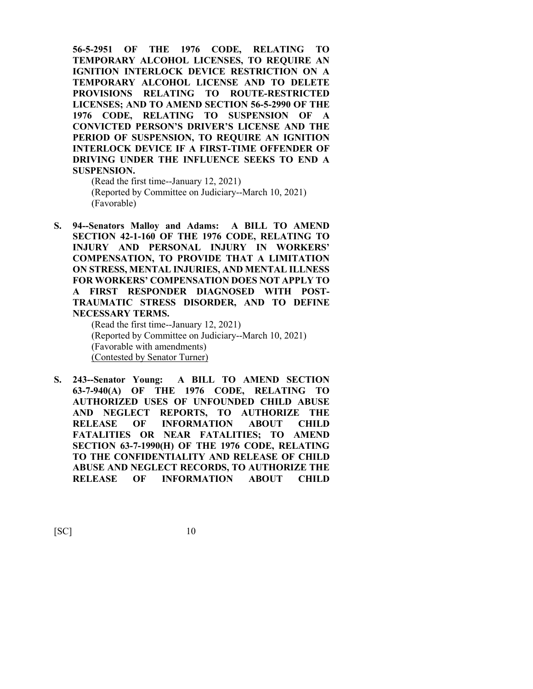**56-5-2951 OF THE 1976 CODE, RELATING TO TEMPORARY ALCOHOL LICENSES, TO REQUIRE AN IGNITION INTERLOCK DEVICE RESTRICTION ON A TEMPORARY ALCOHOL LICENSE AND TO DELETE PROVISIONS RELATING TO ROUTE-RESTRICTED LICENSES; AND TO AMEND SECTION 56-5-2990 OF THE 1976 CODE, RELATING TO SUSPENSION OF A CONVICTED PERSON'S DRIVER'S LICENSE AND THE PERIOD OF SUSPENSION, TO REQUIRE AN IGNITION INTERLOCK DEVICE IF A FIRST-TIME OFFENDER OF DRIVING UNDER THE INFLUENCE SEEKS TO END A SUSPENSION.**

(Read the first time--January 12, 2021) (Reported by Committee on Judiciary--March 10, 2021) (Favorable)

**S. 94--Senators Malloy and Adams: A BILL TO AMEND SECTION 42-1-160 OF THE 1976 CODE, RELATING TO INJURY AND PERSONAL INJURY IN WORKERS' COMPENSATION, TO PROVIDE THAT A LIMITATION ON STRESS, MENTAL INJURIES, AND MENTAL ILLNESS FOR WORKERS' COMPENSATION DOES NOT APPLY TO A FIRST RESPONDER DIAGNOSED WITH POST-TRAUMATIC STRESS DISORDER, AND TO DEFINE NECESSARY TERMS.**

(Read the first time--January 12, 2021) (Reported by Committee on Judiciary--March 10, 2021) (Favorable with amendments) (Contested by Senator Turner)

**S. 243--Senator Young: A BILL TO AMEND SECTION 63-7-940(A) OF THE 1976 CODE, RELATING TO AUTHORIZED USES OF UNFOUNDED CHILD ABUSE AND NEGLECT REPORTS, TO AUTHORIZE THE RELEASE OF INFORMATION ABOUT CHILD FATALITIES OR NEAR FATALITIES; TO AMEND SECTION 63-7-1990(H) OF THE 1976 CODE, RELATING TO THE CONFIDENTIALITY AND RELEASE OF CHILD ABUSE AND NEGLECT RECORDS, TO AUTHORIZE THE RELEASE OF INFORMATION ABOUT CHILD**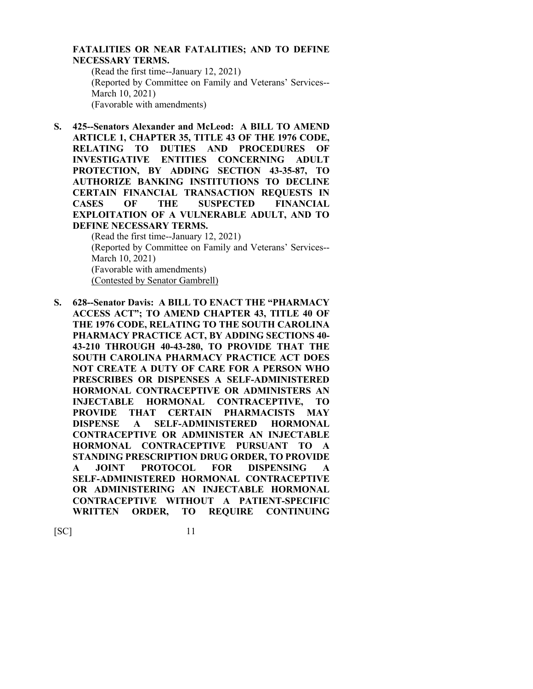#### **FATALITIES OR NEAR FATALITIES; AND TO DEFINE NECESSARY TERMS.**

(Read the first time--January 12, 2021) (Reported by Committee on Family and Veterans' Services-- March 10, 2021) (Favorable with amendments)

**S. 425--Senators Alexander and McLeod: A BILL TO AMEND ARTICLE 1, CHAPTER 35, TITLE 43 OF THE 1976 CODE, RELATING TO DUTIES AND PROCEDURES OF INVESTIGATIVE ENTITIES CONCERNING ADULT PROTECTION, BY ADDING SECTION 43-35-87, TO AUTHORIZE BANKING INSTITUTIONS TO DECLINE CERTAIN FINANCIAL TRANSACTION REQUESTS IN CASES OF THE SUSPECTED FINANCIAL EXPLOITATION OF A VULNERABLE ADULT, AND TO DEFINE NECESSARY TERMS.**

(Read the first time--January 12, 2021) (Reported by Committee on Family and Veterans' Services-- March 10, 2021) (Favorable with amendments) (Contested by Senator Gambrell)

**S. 628--Senator Davis: A BILL TO ENACT THE "PHARMACY ACCESS ACT"; TO AMEND CHAPTER 43, TITLE 40 OF THE 1976 CODE, RELATING TO THE SOUTH CAROLINA PHARMACY PRACTICE ACT, BY ADDING SECTIONS 40- 43-210 THROUGH 40-43-280, TO PROVIDE THAT THE SOUTH CAROLINA PHARMACY PRACTICE ACT DOES NOT CREATE A DUTY OF CARE FOR A PERSON WHO PRESCRIBES OR DISPENSES A SELF-ADMINISTERED HORMONAL CONTRACEPTIVE OR ADMINISTERS AN INJECTABLE HORMONAL CONTRACEPTIVE, TO PROVIDE THAT CERTAIN PHARMACISTS MAY DISPENSE A SELF-ADMINISTERED HORMONAL CONTRACEPTIVE OR ADMINISTER AN INJECTABLE HORMONAL CONTRACEPTIVE PURSUANT TO A STANDING PRESCRIPTION DRUG ORDER, TO PROVIDE A JOINT PROTOCOL FOR DISPENSING A SELF-ADMINISTERED HORMONAL CONTRACEPTIVE OR ADMINISTERING AN INJECTABLE HORMONAL CONTRACEPTIVE WITHOUT A PATIENT-SPECIFIC WRITTEN ORDER, TO REQUIRE CONTINUING**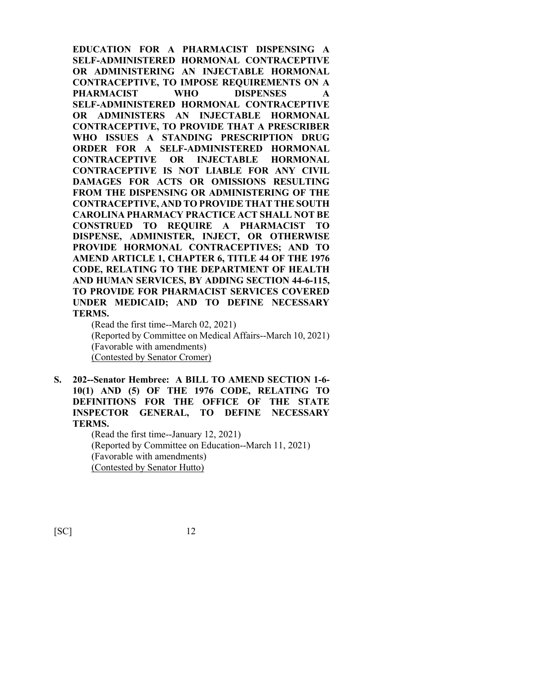**EDUCATION FOR A PHARMACIST DISPENSING A SELF-ADMINISTERED HORMONAL CONTRACEPTIVE OR ADMINISTERING AN INJECTABLE HORMONAL CONTRACEPTIVE, TO IMPOSE REQUIREMENTS ON A PHARMACIST WHO DISPENSES A SELF-ADMINISTERED HORMONAL CONTRACEPTIVE OR ADMINISTERS AN INJECTABLE HORMONAL CONTRACEPTIVE, TO PROVIDE THAT A PRESCRIBER WHO ISSUES A STANDING PRESCRIPTION DRUG ORDER FOR A SELF-ADMINISTERED HORMONAL CONTRACEPTIVE OR INJECTABLE HORMONAL CONTRACEPTIVE IS NOT LIABLE FOR ANY CIVIL DAMAGES FOR ACTS OR OMISSIONS RESULTING FROM THE DISPENSING OR ADMINISTERING OF THE CONTRACEPTIVE, AND TO PROVIDE THAT THE SOUTH CAROLINA PHARMACY PRACTICE ACT SHALL NOT BE CONSTRUED TO REQUIRE A PHARMACIST TO DISPENSE, ADMINISTER, INJECT, OR OTHERWISE PROVIDE HORMONAL CONTRACEPTIVES; AND TO AMEND ARTICLE 1, CHAPTER 6, TITLE 44 OF THE 1976 CODE, RELATING TO THE DEPARTMENT OF HEALTH AND HUMAN SERVICES, BY ADDING SECTION 44-6-115, TO PROVIDE FOR PHARMACIST SERVICES COVERED UNDER MEDICAID; AND TO DEFINE NECESSARY TERMS.**

(Read the first time--March 02, 2021) (Reported by Committee on Medical Affairs--March 10, 2021) (Favorable with amendments) (Contested by Senator Cromer)

**S. 202--Senator Hembree: A BILL TO AMEND SECTION 1-6- 10(1) AND (5) OF THE 1976 CODE, RELATING TO DEFINITIONS FOR THE OFFICE OF THE STATE INSPECTOR GENERAL, TO DEFINE NECESSARY TERMS.**

> (Read the first time--January 12, 2021) (Reported by Committee on Education--March 11, 2021) (Favorable with amendments) (Contested by Senator Hutto)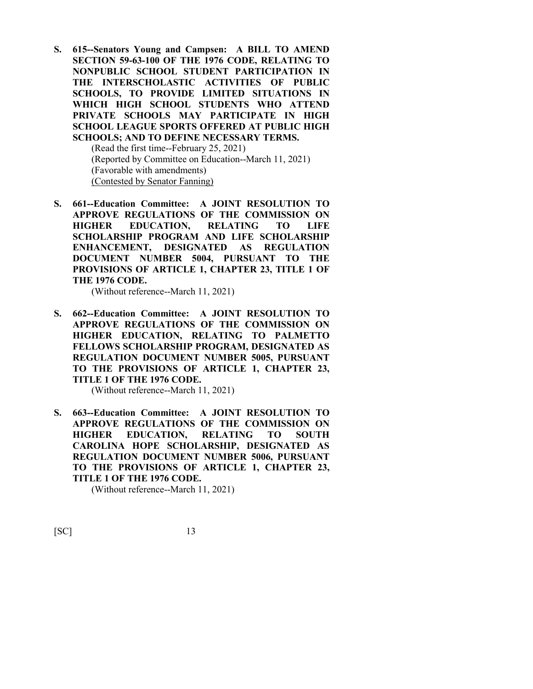**S. 615--Senators Young and Campsen: A BILL TO AMEND SECTION 59-63-100 OF THE 1976 CODE, RELATING TO NONPUBLIC SCHOOL STUDENT PARTICIPATION IN THE INTERSCHOLASTIC ACTIVITIES OF PUBLIC SCHOOLS, TO PROVIDE LIMITED SITUATIONS IN WHICH HIGH SCHOOL STUDENTS WHO ATTEND PRIVATE SCHOOLS MAY PARTICIPATE IN HIGH SCHOOL LEAGUE SPORTS OFFERED AT PUBLIC HIGH SCHOOLS; AND TO DEFINE NECESSARY TERMS.**

(Read the first time--February 25, 2021) (Reported by Committee on Education--March 11, 2021) (Favorable with amendments) (Contested by Senator Fanning)

**S. 661--Education Committee: A JOINT RESOLUTION TO APPROVE REGULATIONS OF THE COMMISSION ON HIGHER EDUCATION, RELATING TO LIFE SCHOLARSHIP PROGRAM AND LIFE SCHOLARSHIP ENHANCEMENT, DESIGNATED AS REGULATION DOCUMENT NUMBER 5004, PURSUANT TO THE PROVISIONS OF ARTICLE 1, CHAPTER 23, TITLE 1 OF THE 1976 CODE.**

(Without reference--March 11, 2021)

**S. 662--Education Committee: A JOINT RESOLUTION TO APPROVE REGULATIONS OF THE COMMISSION ON HIGHER EDUCATION, RELATING TO PALMETTO FELLOWS SCHOLARSHIP PROGRAM, DESIGNATED AS REGULATION DOCUMENT NUMBER 5005, PURSUANT TO THE PROVISIONS OF ARTICLE 1, CHAPTER 23, TITLE 1 OF THE 1976 CODE.**

(Without reference--March 11, 2021)

**S. 663--Education Committee: A JOINT RESOLUTION TO APPROVE REGULATIONS OF THE COMMISSION ON HIGHER EDUCATION, RELATING TO SOUTH CAROLINA HOPE SCHOLARSHIP, DESIGNATED AS REGULATION DOCUMENT NUMBER 5006, PURSUANT TO THE PROVISIONS OF ARTICLE 1, CHAPTER 23, TITLE 1 OF THE 1976 CODE.**

(Without reference--March 11, 2021)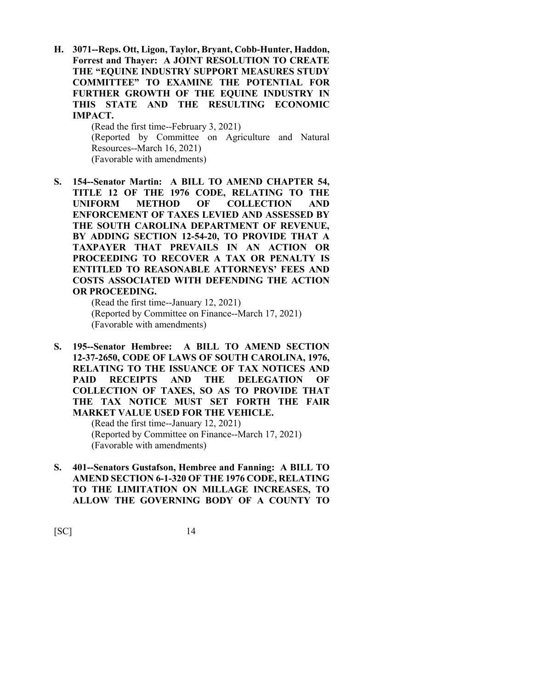**H. 3071--Reps. Ott, Ligon, Taylor, Bryant, Cobb-Hunter, Haddon, Forrest and Thayer: A JOINT RESOLUTION TO CREATE THE "EQUINE INDUSTRY SUPPORT MEASURES STUDY COMMITTEE" TO EXAMINE THE POTENTIAL FOR FURTHER GROWTH OF THE EQUINE INDUSTRY IN THIS STATE AND THE RESULTING ECONOMIC IMPACT.**

> (Read the first time--February 3, 2021) (Reported by Committee on Agriculture and Natural Resources--March 16, 2021) (Favorable with amendments)

**S. 154--Senator Martin: A BILL TO AMEND CHAPTER 54, TITLE 12 OF THE 1976 CODE, RELATING TO THE UNIFORM METHOD OF COLLECTION AND ENFORCEMENT OF TAXES LEVIED AND ASSESSED BY THE SOUTH CAROLINA DEPARTMENT OF REVENUE, BY ADDING SECTION 12-54-20, TO PROVIDE THAT A TAXPAYER THAT PREVAILS IN AN ACTION OR PROCEEDING TO RECOVER A TAX OR PENALTY IS ENTITLED TO REASONABLE ATTORNEYS' FEES AND COSTS ASSOCIATED WITH DEFENDING THE ACTION OR PROCEEDING.**

(Read the first time--January 12, 2021) (Reported by Committee on Finance--March 17, 2021) (Favorable with amendments)

**S. 195--Senator Hembree: A BILL TO AMEND SECTION 12-37-2650, CODE OF LAWS OF SOUTH CAROLINA, 1976, RELATING TO THE ISSUANCE OF TAX NOTICES AND PAID RECEIPTS AND THE DELEGATION OF COLLECTION OF TAXES, SO AS TO PROVIDE THAT THE TAX NOTICE MUST SET FORTH THE FAIR MARKET VALUE USED FOR THE VEHICLE.** (Read the first time--January 12, 2021)

(Reported by Committee on Finance--March 17, 2021) (Favorable with amendments)

**S. 401--Senators Gustafson, Hembree and Fanning: A BILL TO AMEND SECTION 6-1-320 OF THE 1976 CODE, RELATING TO THE LIMITATION ON MILLAGE INCREASES, TO ALLOW THE GOVERNING BODY OF A COUNTY TO**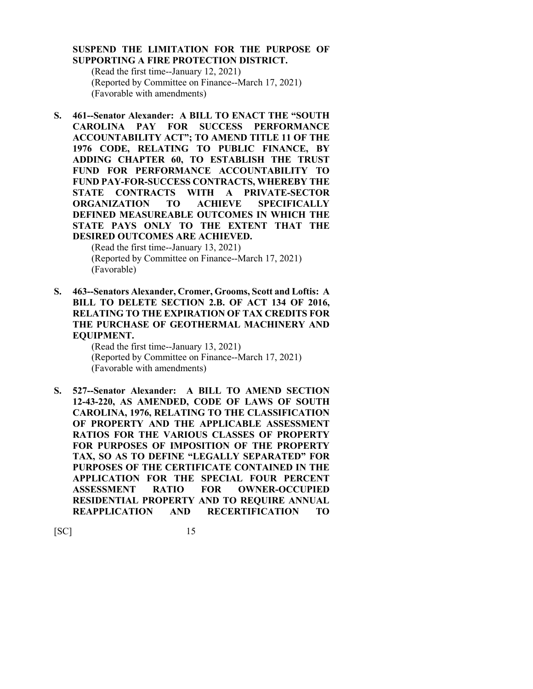## **SUSPEND THE LIMITATION FOR THE PURPOSE OF SUPPORTING A FIRE PROTECTION DISTRICT.**

(Read the first time--January 12, 2021) (Reported by Committee on Finance--March 17, 2021) (Favorable with amendments)

**S. 461--Senator Alexander: A BILL TO ENACT THE "SOUTH CAROLINA PAY FOR SUCCESS PERFORMANCE ACCOUNTABILITY ACT"; TO AMEND TITLE 11 OF THE 1976 CODE, RELATING TO PUBLIC FINANCE, BY ADDING CHAPTER 60, TO ESTABLISH THE TRUST FUND FOR PERFORMANCE ACCOUNTABILITY TO FUND PAY-FOR-SUCCESS CONTRACTS, WHEREBY THE STATE CONTRACTS WITH A PRIVATE-SECTOR ORGANIZATION TO ACHIEVE SPECIFICALLY DEFINED MEASUREABLE OUTCOMES IN WHICH THE STATE PAYS ONLY TO THE EXTENT THAT THE DESIRED OUTCOMES ARE ACHIEVED.**

> (Read the first time--January 13, 2021) (Reported by Committee on Finance--March 17, 2021) (Favorable)

**S. 463--Senators Alexander, Cromer, Grooms, Scott and Loftis: A BILL TO DELETE SECTION 2.B. OF ACT 134 OF 2016, RELATING TO THE EXPIRATION OF TAX CREDITS FOR THE PURCHASE OF GEOTHERMAL MACHINERY AND EQUIPMENT.**

> (Read the first time--January 13, 2021) (Reported by Committee on Finance--March 17, 2021) (Favorable with amendments)

**S. 527--Senator Alexander: A BILL TO AMEND SECTION 12-43-220, AS AMENDED, CODE OF LAWS OF SOUTH CAROLINA, 1976, RELATING TO THE CLASSIFICATION OF PROPERTY AND THE APPLICABLE ASSESSMENT RATIOS FOR THE VARIOUS CLASSES OF PROPERTY FOR PURPOSES OF IMPOSITION OF THE PROPERTY TAX, SO AS TO DEFINE "LEGALLY SEPARATED" FOR PURPOSES OF THE CERTIFICATE CONTAINED IN THE APPLICATION FOR THE SPECIAL FOUR PERCENT ASSESSMENT RATIO FOR OWNER-OCCUPIED RESIDENTIAL PROPERTY AND TO REQUIRE ANNUAL REAPPLICATION AND RECERTIFICATION TO**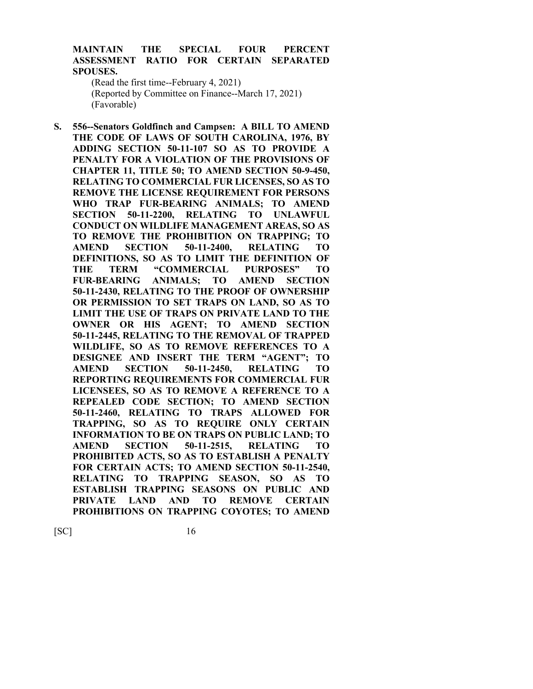### **MAINTAIN THE SPECIAL FOUR PERCENT ASSESSMENT RATIO FOR CERTAIN SEPARATED SPOUSES.**

(Read the first time--February 4, 2021) (Reported by Committee on Finance--March 17, 2021) (Favorable)

**S. 556--Senators Goldfinch and Campsen: A BILL TO AMEND THE CODE OF LAWS OF SOUTH CAROLINA, 1976, BY ADDING SECTION 50-11-107 SO AS TO PROVIDE A PENALTY FOR A VIOLATION OF THE PROVISIONS OF CHAPTER 11, TITLE 50; TO AMEND SECTION 50-9-450, RELATING TO COMMERCIAL FUR LICENSES, SO AS TO REMOVE THE LICENSE REQUIREMENT FOR PERSONS WHO TRAP FUR-BEARING ANIMALS; TO AMEND SECTION 50-11-2200, RELATING TO UNLAWFUL CONDUCT ON WILDLIFE MANAGEMENT AREAS, SO AS TO REMOVE THE PROHIBITION ON TRAPPING; TO AMEND SECTION 50-11-2400, RELATING TO DEFINITIONS, SO AS TO LIMIT THE DEFINITION OF THE TERM "COMMERCIAL PURPOSES" TO FUR-BEARING ANIMALS; TO AMEND SECTION 50-11-2430, RELATING TO THE PROOF OF OWNERSHIP OR PERMISSION TO SET TRAPS ON LAND, SO AS TO LIMIT THE USE OF TRAPS ON PRIVATE LAND TO THE OWNER OR HIS AGENT; TO AMEND SECTION 50-11-2445, RELATING TO THE REMOVAL OF TRAPPED WILDLIFE, SO AS TO REMOVE REFERENCES TO A DESIGNEE AND INSERT THE TERM "AGENT"; TO AMEND SECTION 50-11-2450, RELATING TO REPORTING REQUIREMENTS FOR COMMERCIAL FUR LICENSEES, SO AS TO REMOVE A REFERENCE TO A REPEALED CODE SECTION; TO AMEND SECTION 50-11-2460, RELATING TO TRAPS ALLOWED FOR TRAPPING, SO AS TO REQUIRE ONLY CERTAIN INFORMATION TO BE ON TRAPS ON PUBLIC LAND; TO AMEND SECTION 50-11-2515, RELATING TO PROHIBITED ACTS, SO AS TO ESTABLISH A PENALTY FOR CERTAIN ACTS; TO AMEND SECTION 50-11-2540, RELATING TO TRAPPING SEASON, SO AS TO ESTABLISH TRAPPING SEASONS ON PUBLIC AND PRIVATE LAND AND TO REMOVE CERTAIN PROHIBITIONS ON TRAPPING COYOTES; TO AMEND**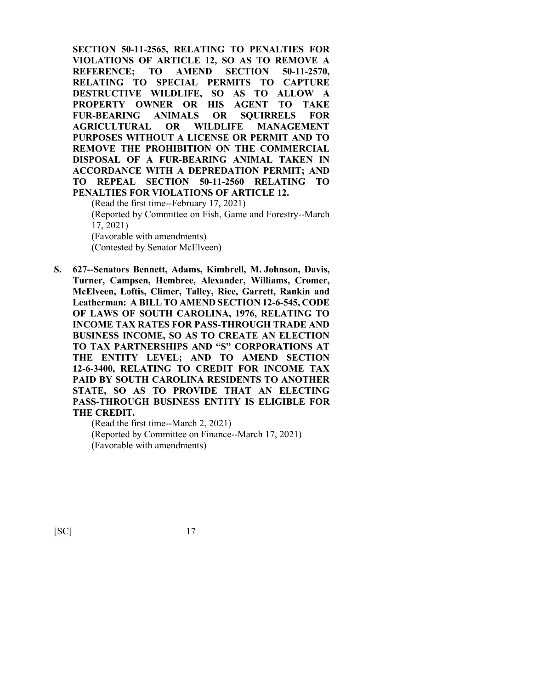**SECTION 50-11-2565, RELATING TO PENALTIES FOR VIOLATIONS OF ARTICLE 12, SO AS TO REMOVE A REFERENCE; TO AMEND SECTION 50-11-2570, RELATING TO SPECIAL PERMITS TO CAPTURE DESTRUCTIVE WILDLIFE, SO AS TO ALLOW A PROPERTY OWNER OR HIS AGENT TO TAKE FUR-BEARING ANIMALS OR SQUIRRELS FOR AGRICULTURAL OR WILDLIFE MANAGEMENT PURPOSES WITHOUT A LICENSE OR PERMIT AND TO REMOVE THE PROHIBITION ON THE COMMERCIAL DISPOSAL OF A FUR-BEARING ANIMAL TAKEN IN ACCORDANCE WITH A DEPREDATION PERMIT; AND TO REPEAL SECTION 50-11-2560 RELATING TO PENALTIES FOR VIOLATIONS OF ARTICLE 12.**

(Read the first time--February 17, 2021) (Reported by Committee on Fish, Game and Forestry--March 17, 2021) (Favorable with amendments) (Contested by Senator McElveen)

**S. 627--Senators Bennett, Adams, Kimbrell, M. Johnson, Davis, Turner, Campsen, Hembree, Alexander, Williams, Cromer, McElveen, Loftis, Climer, Talley, Rice, Garrett, Rankin and Leatherman: A BILL TO AMEND SECTION 12-6-545, CODE OF LAWS OF SOUTH CAROLINA, 1976, RELATING TO INCOME TAX RATES FOR PASS-THROUGH TRADE AND BUSINESS INCOME, SO AS TO CREATE AN ELECTION TO TAX PARTNERSHIPS AND "S" CORPORATIONS AT THE ENTITY LEVEL; AND TO AMEND SECTION 12-6-3400, RELATING TO CREDIT FOR INCOME TAX PAID BY SOUTH CAROLINA RESIDENTS TO ANOTHER STATE, SO AS TO PROVIDE THAT AN ELECTING PASS-THROUGH BUSINESS ENTITY IS ELIGIBLE FOR THE CREDIT.**

> (Read the first time--March 2, 2021) (Reported by Committee on Finance--March 17, 2021) (Favorable with amendments)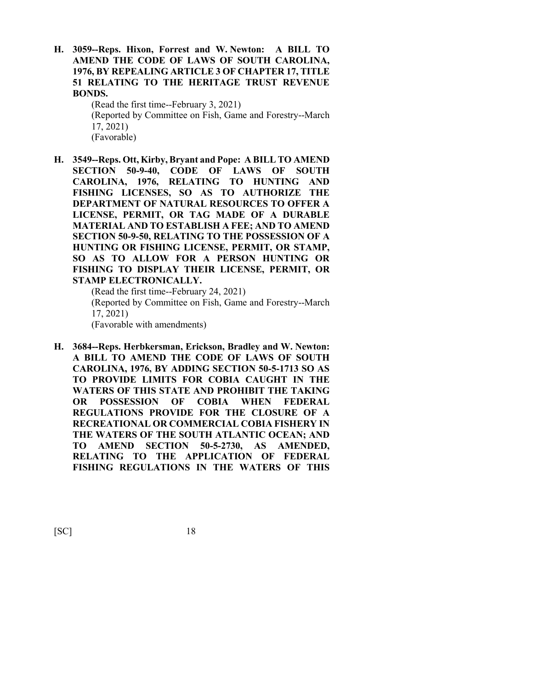**H. 3059--Reps. Hixon, Forrest and W. Newton: A BILL TO AMEND THE CODE OF LAWS OF SOUTH CAROLINA, 1976, BY REPEALING ARTICLE 3 OF CHAPTER 17, TITLE 51 RELATING TO THE HERITAGE TRUST REVENUE BONDS.**

> (Read the first time--February 3, 2021) (Reported by Committee on Fish, Game and Forestry--March 17, 2021) (Favorable)

**H. 3549--Reps. Ott, Kirby, Bryant and Pope: A BILL TO AMEND SECTION 50-9-40, CODE OF LAWS OF SOUTH CAROLINA, 1976, RELATING TO HUNTING AND FISHING LICENSES, SO AS TO AUTHORIZE THE DEPARTMENT OF NATURAL RESOURCES TO OFFER A LICENSE, PERMIT, OR TAG MADE OF A DURABLE MATERIAL AND TO ESTABLISH A FEE; AND TO AMEND SECTION 50-9-50, RELATING TO THE POSSESSION OF A HUNTING OR FISHING LICENSE, PERMIT, OR STAMP, SO AS TO ALLOW FOR A PERSON HUNTING OR FISHING TO DISPLAY THEIR LICENSE, PERMIT, OR STAMP ELECTRONICALLY.**

(Read the first time--February 24, 2021) (Reported by Committee on Fish, Game and Forestry--March 17, 2021) (Favorable with amendments)

**H. 3684--Reps. Herbkersman, Erickson, Bradley and W. Newton: A BILL TO AMEND THE CODE OF LAWS OF SOUTH CAROLINA, 1976, BY ADDING SECTION 50-5-1713 SO AS TO PROVIDE LIMITS FOR COBIA CAUGHT IN THE WATERS OF THIS STATE AND PROHIBIT THE TAKING OR POSSESSION OF COBIA WHEN FEDERAL REGULATIONS PROVIDE FOR THE CLOSURE OF A RECREATIONAL OR COMMERCIAL COBIA FISHERY IN THE WATERS OF THE SOUTH ATLANTIC OCEAN; AND TO AMEND SECTION 50-5-2730, AS AMENDED, RELATING TO THE APPLICATION OF FEDERAL FISHING REGULATIONS IN THE WATERS OF THIS**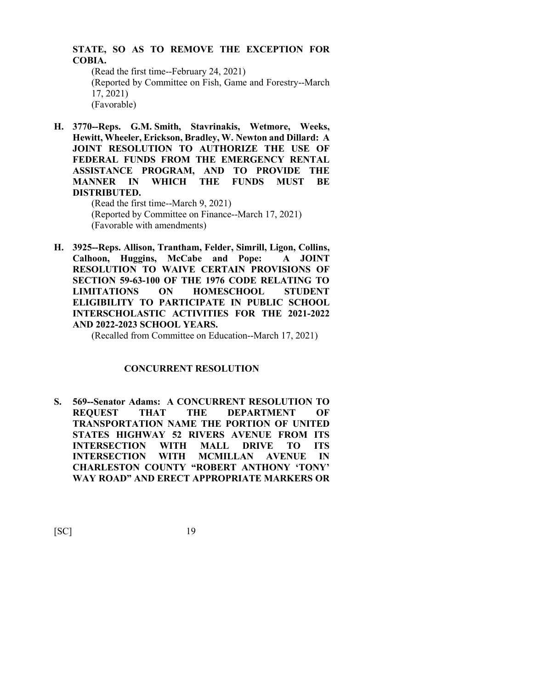## **STATE, SO AS TO REMOVE THE EXCEPTION FOR COBIA.**

(Read the first time--February 24, 2021) (Reported by Committee on Fish, Game and Forestry--March 17, 2021) (Favorable)

**H. 3770--Reps. G.M. Smith, Stavrinakis, Wetmore, Weeks, Hewitt, Wheeler, Erickson, Bradley, W. Newton and Dillard: A JOINT RESOLUTION TO AUTHORIZE THE USE OF FEDERAL FUNDS FROM THE EMERGENCY RENTAL ASSISTANCE PROGRAM, AND TO PROVIDE THE MANNER IN WHICH THE FUNDS MUST BE DISTRIBUTED.**

(Read the first time--March 9, 2021) (Reported by Committee on Finance--March 17, 2021) (Favorable with amendments)

**H. 3925--Reps. Allison, Trantham, Felder, Simrill, Ligon, Collins, Calhoon, Huggins, McCabe and Pope: A JOINT RESOLUTION TO WAIVE CERTAIN PROVISIONS OF SECTION 59-63-100 OF THE 1976 CODE RELATING TO LIMITATIONS ON HOMESCHOOL STUDENT ELIGIBILITY TO PARTICIPATE IN PUBLIC SCHOOL INTERSCHOLASTIC ACTIVITIES FOR THE 2021-2022 AND 2022-2023 SCHOOL YEARS.**

(Recalled from Committee on Education--March 17, 2021)

## **CONCURRENT RESOLUTION**

**S. 569--Senator Adams: A CONCURRENT RESOLUTION TO REQUEST THAT THE DEPARTMENT OF TRANSPORTATION NAME THE PORTION OF UNITED STATES HIGHWAY 52 RIVERS AVENUE FROM ITS INTERSECTION WITH MALL DRIVE TO ITS INTERSECTION WITH MCMILLAN AVENUE IN CHARLESTON COUNTY "ROBERT ANTHONY 'TONY' WAY ROAD" AND ERECT APPROPRIATE MARKERS OR**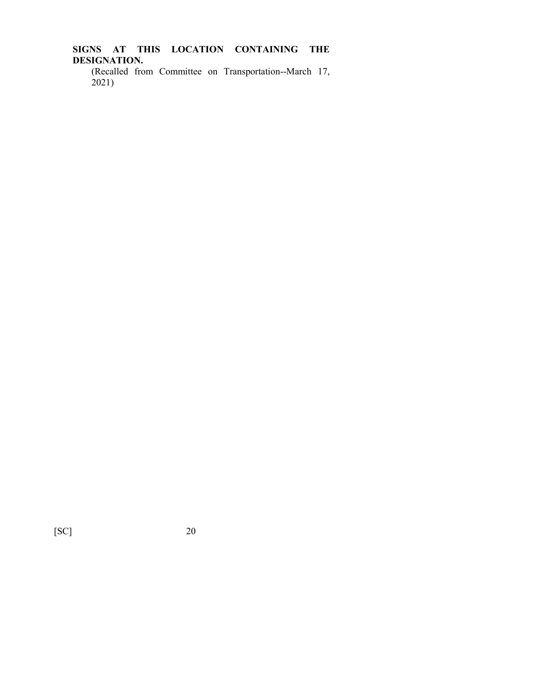**SIGNS AT THIS LOCATION CONTAINING THE DESIGNATION.**

(Recalled from Committee on Transportation--March 17,  $2021$